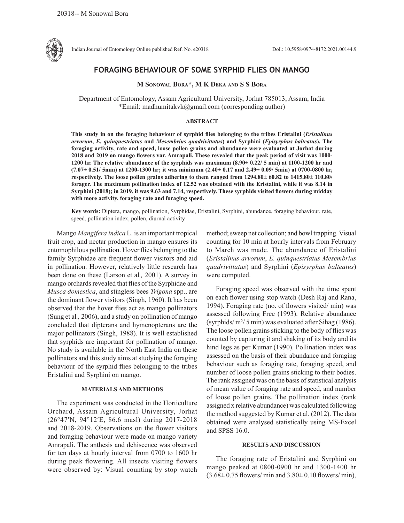

Indian Journal of Entomology Online published Ref. No. e20318 DoI.: 10.5958/0974-8172.2021.00144.9

# **FORAGING BEHAVIOUR OF SOME SYRPHID FLIES ON MANGO**

### **M Sonowal Bora\*, M K Deka and S S Bora**

Department of Entomology, Assam Agricultural University, Jorhat 785013, Assam, India \*Email: madhumitakvk@gmail.com (corresponding author)

#### **ABSTRACT**

**This study in on the foraging behaviour of syrphid flies belonging to the tribes Eristalini (***Eristalinus arvorum***,** *E. quinquestriatus* **and** *Mesembrius quadrivittatus***) and Syrphini (***Episyrphus balteatus***). The foraging activity, rate and speed, loose pollen grains and abundance were evaluated at Jorhat during 2018 and 2019 on mango flowers var. Amrapali. These revealed that the peak period of visit was 1000- 1200 hr. The relative abundance of the syrphids was maximum (8.90± 0.22/ 5 min) at 1100-1200 hr and (7.07± 0.51/ 5min) at 1200-1300 hr; it was minimum (2.40± 0.17 and 2.49± 0.09/ 5min) at 0700-0800 hr, respectively. The loose pollen grains adhering to them ranged from 1294.80± 60.82 to 1415.80± 110.80/ forager. The maximum pollination index of 12.52 was obtained with the Eristalini, while it was 8.14 in Syrphini (2018); in 2019, it was 9.63 and 7.14, respectively. These syrphids visited flowers during midday with more activity, foraging rate and foraging speed.** 

**Key words:** Diptera, mango, pollination, Syrphidae, Eristalini, Syrphini, abundance, foraging behaviour, rate, speed, pollination index, pollen, diurnal activity

Mango *Mangifera indica* L. is an important tropical fruit crop, and nectar production in mango ensures its entomophilous pollination. Hover flies belonging to the family Syrphidae are frequent flower visitors and aid in pollination. However, relatively little research has been done on these (Larson et al*.,* 2001). A survey in mango orchards revealed that flies of the Syrphidae and *Musca domestica*, and stingless bees *Trigona* spp., are the dominant flower visitors (Singh, 1960). It has been observed that the hover flies act as mango pollinators (Sung et al*.,* 2006), and a study on pollination of mango concluded that dipterans and hymenopterans are the major pollinators (Singh, 1988). It is well established that syrphids are important for pollination of mango. No study is available in the North East India on these pollinators and this study aims at studying the foraging behaviour of the syrphid flies belonging to the tribes Eristalini and Syrphini on mango.

## **MATERIALS AND METHODS**

The experiment was conducted in the Horticulture Orchard, Assam Agricultural University, Jorhat (26°47′N, 94°12′E, 86.6 masl) during 2017-2018 and 2018-2019. Observations on the flower visitors and foraging behaviour were made on mango variety Amrapali. The anthesis and dehiscence was observed for ten days at hourly interval from 0700 to 1600 hr during peak flowering. All insects visiting flowers were observed by: Visual counting by stop watch method; sweep net collection; and bowl trapping. Visual counting for 10 min at hourly intervals from February to March was made. The abundance of Eristalini (*Eristalinus arvorum*, *E. quinquestriatus Mesembrius quadrivittatus*) and Syrphini (*Episyrphus balteatus*) were computed.

Foraging speed was observed with the time spent on each flower using stop watch (Desh Raj and Rana, 1994). Foraging rate (no. of flowers visited/ min) was assessed following Free (1993). Relative abundance (syrphids/ $m^2/5$  min) was evaluated after Sihag (1986). The loose pollen grains sticking to the body of flies was counted by capturing it and shaking of its body and its hind legs as per Kumar (1990). Pollination index was assessed on the basis of their abundance and foraging behaviour such as foraging rate, foraging speed, and number of loose pollen grains sticking to their bodies. The rank assigned was on the basis of statistical analysis of mean value of foraging rate and speed, and number of loose pollen grains. The pollination index (rank assigned x relative abundance) was calculated following the method suggested by Kumar et al*.* (2012). The data obtained were analysed statistically using MS-Excel and SPSS 16.0.

#### **RESULTS AND DISCUSSION**

The foraging rate of Eristalini and Syrphini on mango peaked at 0800-0900 hr and 1300-1400 hr  $(3.68\pm 0.75$  flowers/ min and  $3.80\pm 0.10$  flowers/ min),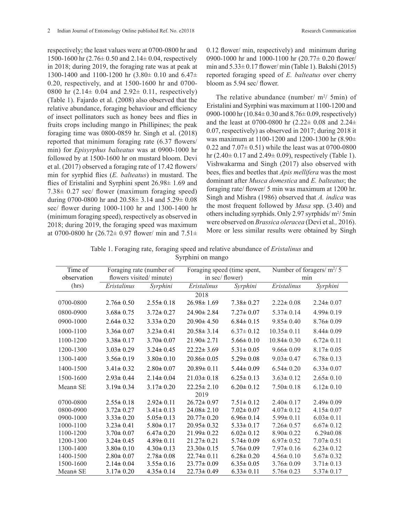respectively; the least values were at 0700-0800 hr and 1500-1600 hr (2.76± 0.50 and 2.14± 0.04, respectively in 2018; during 2019, the foraging rate was at peak at 1300-1400 and 1100-1200 hr (3.80± 0.10 and 6.47± 0.20, respectively, and at 1500-1600 hr and 0700- 0800 hr  $(2.14 \pm 0.04$  and  $2.92 \pm 0.11$ , respectively) (Table 1). Fajardo et al. (2008) also observed that the relative abundance, foraging behaviour and efficiency of insect pollinators such as honey bees and flies in fruits crops including mango in Phillipines; the peak foraging time was 0800-0859 hr. Singh et al. (2018) reported that minimum foraging rate (6.37 flowers/ min) for *Episyrphus balteatus* was at 0900-1000 hr followed by at 1500-1600 hr on mustard bloom. Devi et al. (2017) observed a foraging rate of 17.42 flowers/ min for syrphid flies (*E. balteatus*) in mustard. The flies of Eristalini and Syrphini spent  $26.98 \pm 1.69$  and 7.38± 0.27 sec/ flower (maximum foraging speed) during 0700-0800 hr and 20.58± 3.14 and 5.29± 0.08 sec/ flower during 1000-1100 hr and 1300-1400 hr (minimum foraging speed), respectively as observed in 2018; during 2019, the foraging speed was maximum at 0700-0800 hr (26.72 $\pm$  0.97 flower/ min and 7.51 $\pm$ 

0.12 flower/ min, respectively) and minimum during 0900-1000 hr and 1000-1100 hr (20.77± 0.20 flower/ min and  $5.33\pm0.17$  flower/min (Table 1). Bakshi (2015) reported foraging speed of *E. balteatus* over cherry bloom as 5.94 sec/ flower.

The relative abundance (number/  $m^2/5$ min) of Eristalini and Syrphini was maximum at 1100-1200 and 0900-1000 hr (10.84± 0.30 and 8.76± 0.09, respectively) and the least at 0700-0800 hr  $(2.22 \pm 0.08$  and  $2.24 \pm 1.00$ 0.07, respectively) as observed in 2017; during 2018 it was maximum at 1100-1200 and 1200-1300 hr (8.90± 0.22 and  $7.07\pm 0.51$ ) while the least was at 0700-0800 hr (2.40 $\pm$  0.17 and 2.49 $\pm$  0.09), respectively (Table 1). Vishwakarma and Singh (2017) also observed with bees, flies and beetles that *Apis mellifera* was the most dominant after *Musca domestica* and *E. balteatus*; the foraging rate/ flower/ 5 min was maximum at 1200 hr. Singh and Mishra (1986) observed that *A. indica* was the most frequent followed by *Musa* spp. (3.40) and others including syrphids. Only 2.97 syrphids/ $m^2/5$ min were observed on *Brassica oleracea* (Devi et al*.,* 2016). More or less similar results were obtained by Singh

| Table 1. Foraging rate, foraging speed and relative abundance of <i>Eristalinus</i> and |                   |  |  |
|-----------------------------------------------------------------------------------------|-------------------|--|--|
|                                                                                         | Syrphini on mango |  |  |

| Time of       | Foraging rate (number of |                 | Foraging speed (time spent, |                 | Number of foragers/ $m^2/5$ |                 |  |
|---------------|--------------------------|-----------------|-----------------------------|-----------------|-----------------------------|-----------------|--|
| observation   | flowers visited/minute)  |                 |                             | in sec/ flower) |                             | min             |  |
| (hrs)         | Eristalinus              | Syrphini        | Eristalinus                 | Syrphini        | Eristalinus                 | Syrphini        |  |
|               |                          |                 | 2018                        |                 |                             |                 |  |
| 0700-0800     | $2.76 \pm 0.50$          | $2.55 \pm 0.18$ | $26.98 \pm 1.69$            | $7.38 \pm 0.27$ | $2.22 \pm 0.08$             | $2.24 \pm 0.07$ |  |
| 0800-0900     | $3.68 \pm 0.75$          | $3.72 \pm 0.27$ | $24.90 \pm 2.84$            | $7.27 \pm 0.07$ | $5.37 \pm 0.14$             | $4.99 \pm 0.19$ |  |
| 0900-1000     | $2.64 \pm 0.32$          | $3.33 \pm 0.20$ | $20.90 \pm 4.50$            | $6.84 \pm 0.15$ | $9.85 \pm 0.40$             | $8.76 \pm 0.09$ |  |
| 1000-1100     | $3.36 \pm 0.07$          | $3.23 \pm 0.41$ | $20.58 \pm 3.14$            | $6.37 \pm 0.12$ | $10.35 \pm 0.11$            | $8.44 \pm 0.09$ |  |
| 1100-1200     | $3.38 \pm 0.17$          | $3.70 \pm 0.07$ | $21.90 \pm 2.71$            | $5.66 \pm 0.10$ | $10.84 \pm 0.30$            | $6.72 \pm 0.11$ |  |
| 1200-1300     | $3.03 \pm 0.29$          | $3.24 \pm 0.45$ | $22.22 \pm 3.69$            | $5.31 \pm 0.05$ | $9.66 \pm 0.09$             | $8.17 \pm 0.05$ |  |
| 1300-1400     | $3.56 \pm 0.19$          | $3.80 \pm 0.10$ | $20.86 \pm 0.05$            | $5.29 \pm 0.08$ | $9.03 \pm 0.47$             | $6.78 \pm 0.13$ |  |
| 1400-1500     | $3.41 \pm 0.32$          | $2.80 \pm 0.07$ | $20.89 \pm 0.11$            | $5.44 \pm 0.09$ | $6.54 \pm 0.20$             | $6.33 \pm 0.07$ |  |
| 1500-1600     | $2.93 \pm 0.44$          | $2.14 \pm 0.04$ | $21.03 \pm 0.18$            | $6.25 \pm 0.13$ | $3.63 \pm 0.12$             | $2.65 \pm 0.10$ |  |
| Mean± SE      | $3.19 \pm 0.34$          | $3.17 \pm 0.20$ | $22.25 \pm 2.10$            | $6.20 \pm 0.12$ | $7.50 \pm 0.18$             | $6.12 \pm 0.10$ |  |
|               |                          |                 | 2019                        |                 |                             |                 |  |
| 0700-0800     | $2.55 \pm 0.18$          | $2.92 \pm 0.11$ | $26.72 \pm 0.97$            | $7.51 \pm 0.12$ | $2.40 \pm 0.17$             | $2.49 \pm 0.09$ |  |
| 0800-0900     | $3.72 \pm 0.27$          | $3.41 \pm 0.13$ | $24.08 \pm 2.10$            | $7.02 \pm 0.07$ | $4.07 \pm 0.12$             | $4.15 \pm 0.07$ |  |
| 0900-1000     | $3.33 \pm 0.20$          | $5.05 \pm 0.13$ | $20.77 \pm 0.20$            | $6.96 \pm 0.14$ | $5.99 \pm 0.11$             | $6.03 \pm 0.11$ |  |
| 1000-1100     | $3.23 \pm 0.41$          | $5.80 \pm 0.17$ | $20.95 \pm 0.32$            | $5.33 \pm 0.17$ | $7.26 \pm 0.57$             | $6.67 \pm 0.12$ |  |
| 1100-1200     | $3.70 \pm 0.07$          | $6.47 \pm 0.20$ | $21.99 \pm 0.22$            | $6.02 \pm 0.12$ | $8.90 \pm 0.22$             | $6.29 \pm 0.08$ |  |
| 1200-1300     | $3.24 \pm 0.45$          | $4.89 \pm 0.11$ | $21.27 \pm 0.21$            | $5.74 \pm 0.09$ | $6.97 \pm 0.52$             | $7.07 \pm 0.51$ |  |
| 1300-1400     | $3.80 \pm 0.10$          | $4.30 \pm 0.13$ | $23.30 \pm 0.15$            | $5.76 \pm 0.09$ | $7.97 \pm 0.16$             | $6.23 \pm 0.12$ |  |
| 1400-1500     | $2.80 \pm 0.07$          | $2.78 \pm 0.08$ | $22.74 \pm 0.11$            | $6.28 \pm 0.20$ | $4.56 \pm 0.10$             | $5.67 \pm 0.32$ |  |
| 1500-1600     | $2.14 \pm 0.04$          | $3.55 \pm 0.16$ | $23.77 \pm 0.09$            | $6.35 \pm 0.05$ | $3.76 \pm 0.09$             | $3.71 \pm 0.13$ |  |
| $Mean \pm SE$ | $3.17 \pm 0.20$          | $4.35 \pm 0.14$ | $22.73 \pm 0.49$            | $6.33 \pm 0.11$ | $5.76 \pm 0.23$             | $5.37 \pm 0.17$ |  |